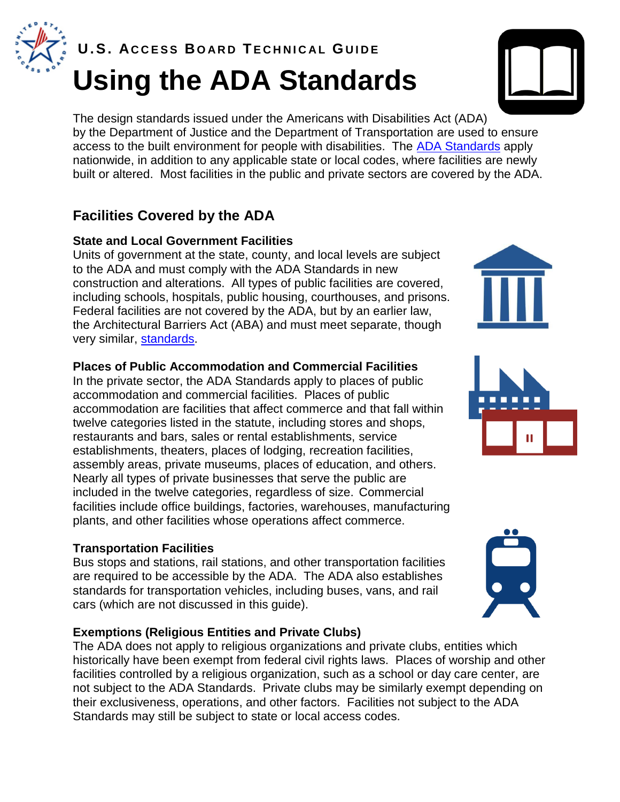

# **Using the ADA Standards U . S. ACCESS B O A R D T E C H N I C A L GU I D E**

The design standards issued under the Americans with Disabilities Act (ADA) by the Department of Justice and the Department of Transportation are used to ensure access to the built environment for people with disabilities. The [ADA Standards](http://www.access-board.gov/guidelines-and-standards/buildings-and-sites/about-the-ada-standards/ada-standards) apply nationwide, in addition to any applicable state or local codes, where facilities are newly built or altered. Most facilities in the public and private sectors are covered by the ADA.

## **Facilities Covered by the ADA**

#### **State and Local Government Facilities**

Units of government at the state, county, and local levels are subject to the ADA and must comply with the ADA Standards in new construction and alterations. All types of public facilities are covered, including schools, hospitals, public housing, courthouses, and prisons. Federal facilities are not covered by the ADA, but by an earlier law, the Architectural Barriers Act (ABA) and must meet separate, though very similar, [standards.](http://www.access-board.gov/guidelines-and-standards/buildings-and-sites/about-the-aba-standards/aba-standards)

### **Places of Public Accommodation and Commercial Facilities**

In the private sector, the ADA Standards apply to places of public accommodation and commercial facilities. Places of public accommodation are facilities that affect commerce and that fall within twelve categories listed in the statute, including stores and shops, restaurants and bars, sales or rental establishments, service establishments, theaters, places of lodging, recreation facilities, assembly areas, private museums, places of education, and others. Nearly all types of private businesses that serve the public are included in the twelve categories, regardless of size. Commercial facilities include office buildings, factories, warehouses, manufacturing plants, and other facilities whose operations affect commerce.

#### **Transportation Facilities**

Bus stops and stations, rail stations, and other transportation facilities are required to be accessible by the ADA. The ADA also establishes standards for transportation vehicles, including buses, vans, and rail cars (which are not discussed in this guide).

#### **Exemptions (Religious Entities and Private Clubs)**

The ADA does not apply to religious organizations and private clubs, entities which historically have been exempt from federal civil rights laws. Places of worship and other facilities controlled by a religious organization, such as a school or day care center, are not subject to the ADA Standards. Private clubs may be similarly exempt depending on their exclusiveness, operations, and other factors. Facilities not subject to the ADA Standards may still be subject to state or local access codes.







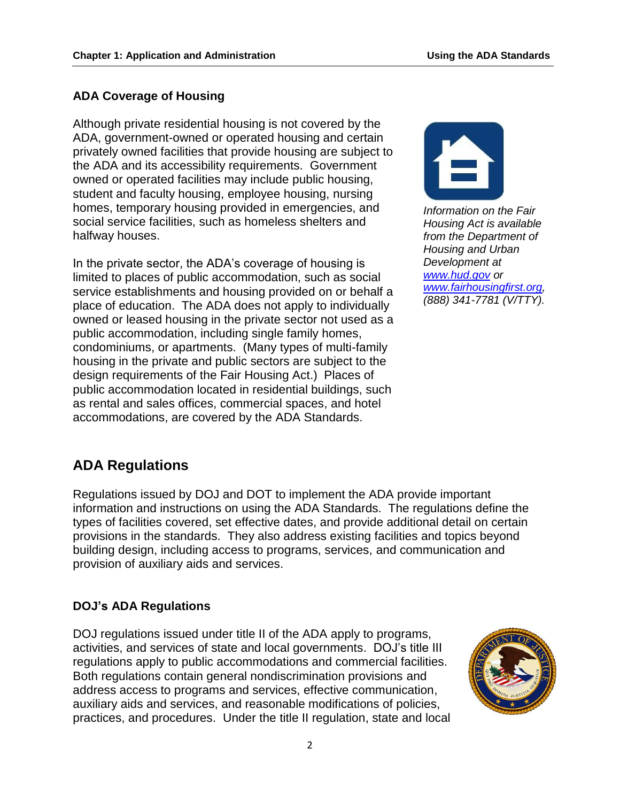#### **ADA Coverage of Housing**

Although private residential housing is not covered by the ADA, government-owned or operated housing and certain privately owned facilities that provide housing are subject to the ADA and its accessibility requirements. Government owned or operated facilities may include public housing, student and faculty housing, employee housing, nursing homes, temporary housing provided in emergencies, and social service facilities, such as homeless shelters and halfway houses.

In the private sector, the ADA's coverage of housing is limited to places of public accommodation, such as social service establishments and housing provided on or behalf a place of education. The ADA does not apply to individually owned or leased housing in the private sector not used as a public accommodation, including single family homes, condominiums, or apartments. (Many types of multi-family housing in the private and public sectors are subject to the design requirements of the Fair Housing Act.) Places of public accommodation located in residential buildings, such as rental and sales offices, commercial spaces, and hotel accommodations, are covered by the ADA Standards.



*Information on the Fair Housing Act is available from the Department of Housing and Urban Development at [www.hud.gov](http://www.hud.gov/) or [www.fairhousingfirst.org,](http://www.fairhousingfirst.org/) (888) 341-7781 (V/TTY).*

## **ADA Regulations**

Regulations issued by DOJ and DOT to implement the ADA provide important information and instructions on using the ADA Standards. The regulations define the types of facilities covered, set effective dates, and provide additional detail on certain provisions in the standards. They also address existing facilities and topics beyond building design, including access to programs, services, and communication and provision of auxiliary aids and services.

#### **DOJ's ADA Regulations**

DOJ regulations issued under title II of the ADA apply to programs, activities, and services of state and local governments. DOJ's title III regulations apply to public accommodations and commercial facilities. Both regulations contain general nondiscrimination provisions and address access to programs and services, effective communication, auxiliary aids and services, and reasonable modifications of policies, practices, and procedures. Under the title II regulation, state and local

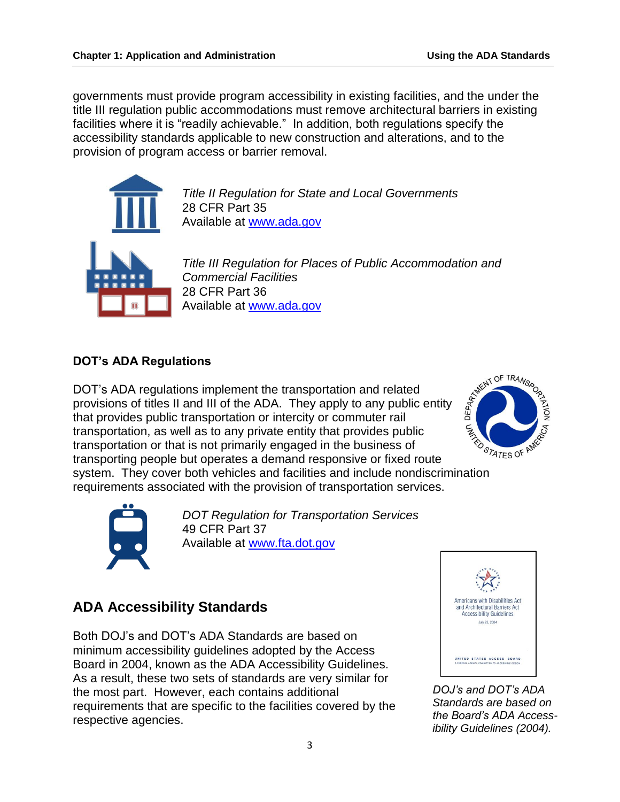governments must provide program accessibility in existing facilities, and the under the title III regulation public accommodations must remove architectural barriers in existing facilities where it is "readily achievable." In addition, both regulations specify the accessibility standards applicable to new construction and alterations, and to the provision of program access or barrier removal.



*Title II Regulation for State and Local Governments*  28 CFR Part 35 Available at [www.ada.gov](http://www.ada.gov/regs2010/ADAregs2010.htm)

*Title III Regulation for Places of Public Accommodation and Commercial Facilities*  28 CFR Part 36 Available at [www.ada.gov](http://www.ada.gov/regs2010/ADAregs2010.htm)

#### **DOT's ADA Regulations**

DOT's ADA regulations implement the transportation and related provisions of titles II and III of the ADA. They apply to any public entity  $\frac{e^{4N^2}}{N}$  and the ADA. They apply to any public entity  $\frac{e^{4N^2}}{N}$ that provides public transportation or intercity or commuter rail transportation, as well as to any private entity that provides public transportation or that is not primarily engaged in the business of transporting people but operates a demand responsive or fixed route transportation, as well as to any private entity that provided particles are transportation or that is not primarily engaged in the business of<br>transportation or that is not primarily engaged in the business of<br>system. Th requirements associated with the provision of transportation services.





*DOT Regulation for Transportation Services*  49 CFR Part 37 Available at [www.fta.dot.gov](http://www.fta.dot.gov/)

## **ADA Accessibility Standards**

Both DOJ's and DOT's ADA Standards are based on minimum accessibility guidelines adopted by the Access Board in 2004, known as the ADA Accessibility Guidelines. As a result, these two sets of standards are very similar for the most part. However, each contains additional requirements that are specific to the facilities covered by the respective agencies.



*DOJ's and DOT's ADA Standards are based on the Board's ADA Accessibility Guidelines (2004).*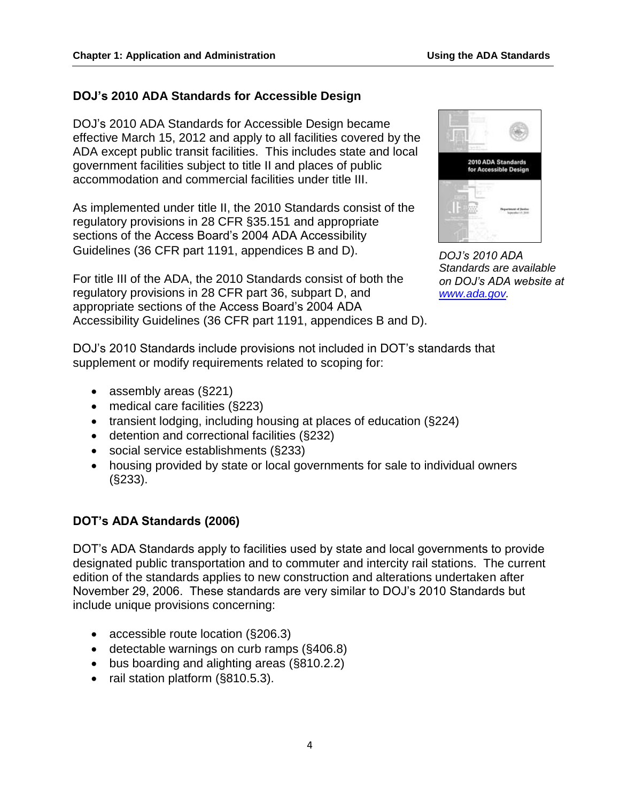#### **DOJ's 2010 ADA Standards for Accessible Design**

DOJ's 2010 ADA Standards for Accessible Design became effective March 15, 2012 and apply to all facilities covered by the ADA except public transit facilities. This includes state and local government facilities subject to title II and places of public accommodation and commercial facilities under title III.

As implemented under title II, the 2010 Standards consist of the regulatory provisions in 28 CFR §35.151 and appropriate sections of the Access Board's 2004 ADA Accessibility Guidelines (36 CFR part 1191, appendices B and D).

For title III of the ADA, the 2010 Standards consist of both the regulatory provisions in 28 CFR part 36, subpart D, and appropriate sections of the Access Board's 2004 ADA Accessibility Guidelines (36 CFR part 1191, appendices B and D).



*DOJ's 2010 ADA Standards are available on DOJ's ADA website at [www.ada.gov.](http://www.ada.gov/)*

DOJ's 2010 Standards include provisions not included in DOT's standards that supplement or modify requirements related to scoping for:

- assembly areas (§221)
- medical care facilities (§223)
- transient lodging, including housing at places of education (§224)
- detention and correctional facilities (§232)
- social service establishments (§233)
- housing provided by state or local governments for sale to individual owners (§233).

#### **DOT's ADA Standards (2006)**

DOT's ADA Standards apply to facilities used by state and local governments to provide designated public transportation and to commuter and intercity rail stations. The current edition of the standards applies to new construction and alterations undertaken after November 29, 2006. These standards are very similar to DOJ's 2010 Standards but include unique provisions concerning:

- accessible route location (§206.3)
- detectable warnings on curb ramps (§406.8)
- bus boarding and alighting areas (§810.2.2)
- rail station platform  $(\$810.5.3)$ .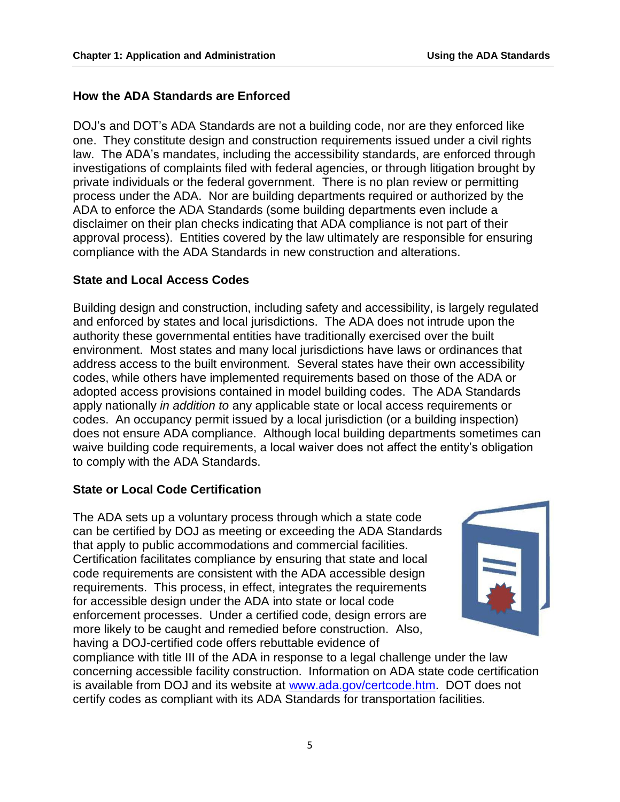#### **How the ADA Standards are Enforced**

DOJ's and DOT's ADA Standards are not a building code, nor are they enforced like one. They constitute design and construction requirements issued under a civil rights law. The ADA's mandates, including the accessibility standards, are enforced through investigations of complaints filed with federal agencies, or through litigation brought by private individuals or the federal government. There is no plan review or permitting process under the ADA. Nor are building departments required or authorized by the ADA to enforce the ADA Standards (some building departments even include a disclaimer on their plan checks indicating that ADA compliance is not part of their approval process). Entities covered by the law ultimately are responsible for ensuring compliance with the ADA Standards in new construction and alterations.

#### **State and Local Access Codes**

Building design and construction, including safety and accessibility, is largely regulated and enforced by states and local jurisdictions. The ADA does not intrude upon the authority these governmental entities have traditionally exercised over the built environment. Most states and many local jurisdictions have laws or ordinances that address access to the built environment. Several states have their own accessibility codes, while others have implemented requirements based on those of the ADA or adopted access provisions contained in model building codes. The ADA Standards apply nationally *in addition to* any applicable state or local access requirements or codes. An occupancy permit issued by a local jurisdiction (or a building inspection) does not ensure ADA compliance. Although local building departments sometimes can waive building code requirements, a local waiver does not affect the entity's obligation to comply with the ADA Standards.

#### **State or Local Code Certification**

The ADA sets up a voluntary process through which a state code can be certified by DOJ as meeting or exceeding the ADA Standards that apply to public accommodations and commercial facilities. Certification facilitates compliance by ensuring that state and local code requirements are consistent with the ADA accessible design requirements. This process, in effect, integrates the requirements for accessible design under the ADA into state or local code enforcement processes. Under a certified code, design errors are more likely to be caught and remedied before construction. Also, having a DOJ-certified code offers rebuttable evidence of



compliance with title III of the ADA in response to a legal challenge under the law concerning accessible facility construction. Information on ADA state code certification is available from DOJ and its website at [www.ada.gov/certcode.htm.](http://www.ada.gov/certcode.htm) DOT does not certify codes as compliant with its ADA Standards for transportation facilities.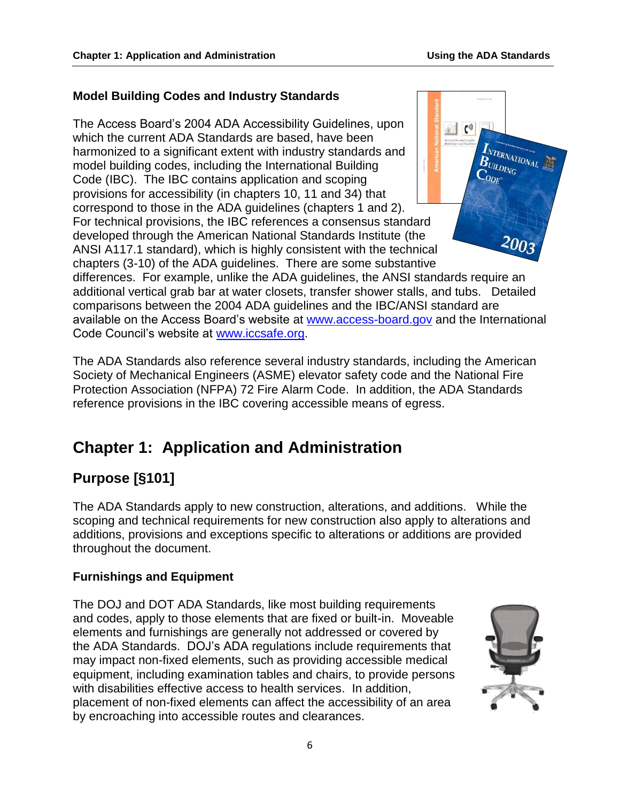#### **Model Building Codes and Industry Standards**

The Access Board's 2004 ADA Accessibility Guidelines, upon which the current ADA Standards are based, have been harmonized to a significant extent with industry standards and model building codes, including the International Building Code (IBC). The IBC contains application and scoping provisions for accessibility (in chapters 10, 11 and 34) that correspond to those in the ADA guidelines (chapters 1 and 2). For technical provisions, the IBC references a consensus standard developed through the American National Standards Institute (the ANSI A117.1 standard), which is highly consistent with the technical chapters (3-10) of the ADA guidelines. There are some substantive



differences. For example, unlike the ADA guidelines, the ANSI standards require an additional vertical grab bar at water closets, transfer shower stalls, and tubs. Detailed comparisons between the 2004 ADA guidelines and the IBC/ANSI standard are available on the Access Board's website at [www.access-board.gov](http://www.access-board.gov/) and the International Code Council's website at [www.iccsafe.org.](http://www.iccsafe.org/)

The ADA Standards also reference several industry standards, including the American Society of Mechanical Engineers (ASME) elevator safety code and the National Fire Protection Association (NFPA) 72 Fire Alarm Code. In addition, the ADA Standards reference provisions in the IBC covering accessible means of egress.

## **Chapter 1: Application and Administration**

## **Purpose [§101]**

The ADA Standards apply to new construction, alterations, and additions. While the scoping and technical requirements for new construction also apply to alterations and additions, provisions and exceptions specific to alterations or additions are provided throughout the document.

#### **Furnishings and Equipment**

The DOJ and DOT ADA Standards, like most building requirements and codes, apply to those elements that are fixed or built-in. Moveable elements and furnishings are generally not addressed or covered by the ADA Standards. DOJ's ADA regulations include requirements that may impact non-fixed elements, such as providing accessible medical equipment, including examination tables and chairs, to provide persons with disabilities effective access to health services. In addition, placement of non-fixed elements can affect the accessibility of an area by encroaching into accessible routes and clearances.

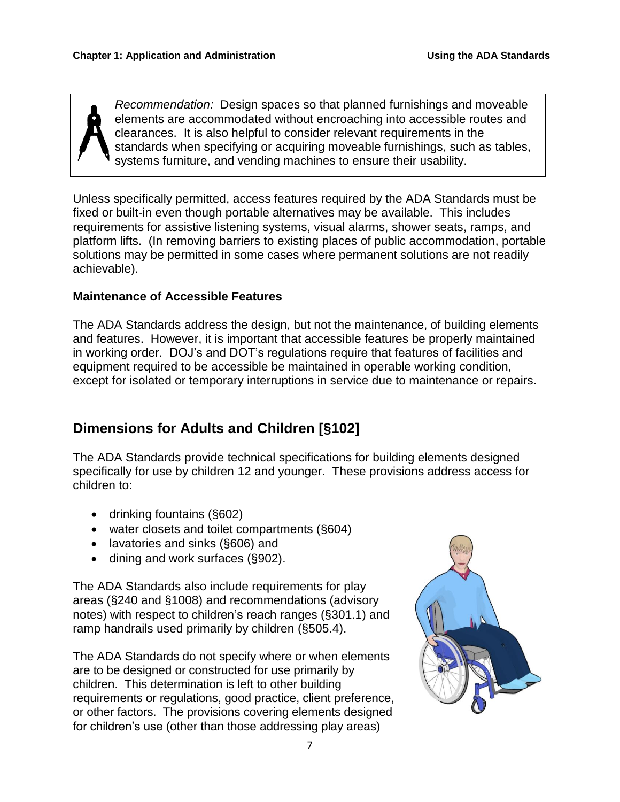*Recommendation:* Design spaces so that planned furnishings and moveable elements are accommodated without encroaching into accessible routes and clearances. It is also helpful to consider relevant requirements in the standards when specifying or acquiring moveable furnishings, such as tables, systems furniture, and vending machines to ensure their usability.

Unless specifically permitted, access features required by the ADA Standards must be fixed or built-in even though portable alternatives may be available. This includes requirements for assistive listening systems, visual alarms, shower seats, ramps, and platform lifts. (In removing barriers to existing places of public accommodation, portable solutions may be permitted in some cases where permanent solutions are not readily achievable).

#### **Maintenance of Accessible Features**

The ADA Standards address the design, but not the maintenance, of building elements and features. However, it is important that accessible features be properly maintained in working order. DOJ's and DOT's regulations require that features of facilities and equipment required to be accessible be maintained in operable working condition, except for isolated or temporary interruptions in service due to maintenance or repairs.

## **Dimensions for Adults and Children [§102]**

The ADA Standards provide technical specifications for building elements designed specifically for use by children 12 and younger. These provisions address access for children to:

- drinking fountains (§602)
- water closets and toilet compartments (§604)
- lavatories and sinks (§606) and
- dining and work surfaces (§902).

The ADA Standards also include requirements for play areas (§240 and §1008) and recommendations (advisory notes) with respect to children's reach ranges (§301.1) and ramp handrails used primarily by children (§505.4).

The ADA Standards do not specify where or when elements are to be designed or constructed for use primarily by children. This determination is left to other building requirements or regulations, good practice, client preference, or other factors. The provisions covering elements designed for children's use (other than those addressing play areas)

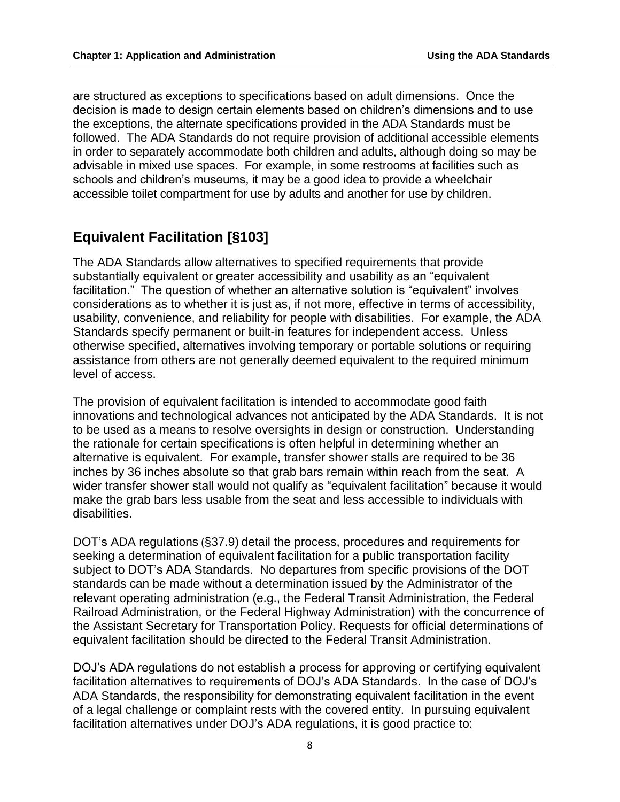are structured as exceptions to specifications based on adult dimensions. Once the decision is made to design certain elements based on children's dimensions and to use the exceptions, the alternate specifications provided in the ADA Standards must be followed. The ADA Standards do not require provision of additional accessible elements in order to separately accommodate both children and adults, although doing so may be advisable in mixed use spaces. For example, in some restrooms at facilities such as schools and children's museums, it may be a good idea to provide a wheelchair accessible toilet compartment for use by adults and another for use by children.

## **Equivalent Facilitation [§103]**

The ADA Standards allow alternatives to specified requirements that provide substantially equivalent or greater accessibility and usability as an "equivalent facilitation." The question of whether an alternative solution is "equivalent" involves considerations as to whether it is just as, if not more, effective in terms of accessibility, usability, convenience, and reliability for people with disabilities. For example, the ADA Standards specify permanent or built-in features for independent access. Unless otherwise specified, alternatives involving temporary or portable solutions or requiring assistance from others are not generally deemed equivalent to the required minimum level of access.

The provision of equivalent facilitation is intended to accommodate good faith innovations and technological advances not anticipated by the ADA Standards. It is not to be used as a means to resolve oversights in design or construction. Understanding the rationale for certain specifications is often helpful in determining whether an alternative is equivalent. For example, transfer shower stalls are required to be 36 inches by 36 inches absolute so that grab bars remain within reach from the seat. A wider transfer shower stall would not qualify as "equivalent facilitation" because it would make the grab bars less usable from the seat and less accessible to individuals with disabilities.

DOT's ADA regulations (§37.9) detail the process, procedures and requirements for seeking a determination of equivalent facilitation for a public transportation facility subject to DOT's ADA Standards. No departures from specific provisions of the DOT standards can be made without a determination issued by the Administrator of the relevant operating administration (e.g., the Federal Transit Administration, the Federal Railroad Administration, or the Federal Highway Administration) with the concurrence of the Assistant Secretary for Transportation Policy. Requests for official determinations of equivalent facilitation should be directed to the Federal Transit Administration.

DOJ's ADA regulations do not establish a process for approving or certifying equivalent facilitation alternatives to requirements of DOJ's ADA Standards. In the case of DOJ's ADA Standards, the responsibility for demonstrating equivalent facilitation in the event of a legal challenge or complaint rests with the covered entity. In pursuing equivalent facilitation alternatives under DOJ's ADA regulations, it is good practice to: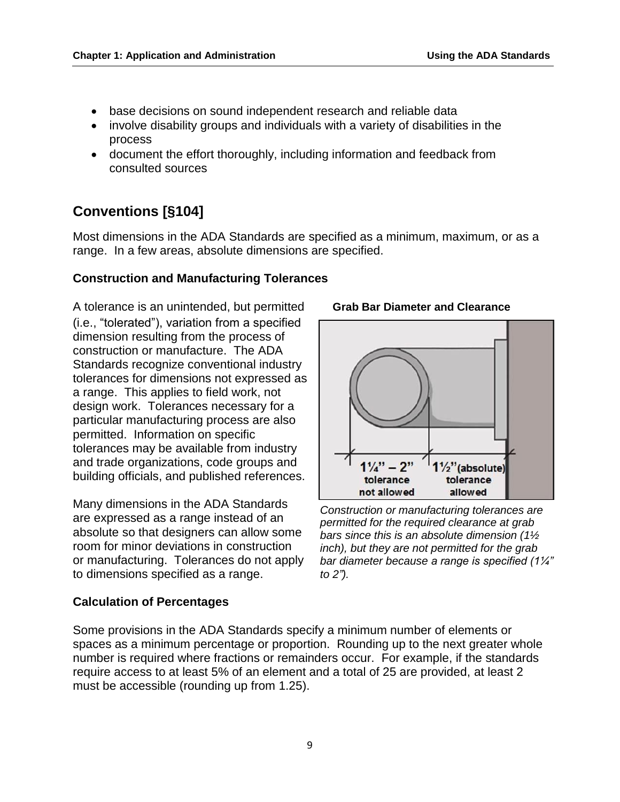- base decisions on sound independent research and reliable data
- involve disability groups and individuals with a variety of disabilities in the process
- document the effort thoroughly, including information and feedback from consulted sources

## **Conventions [§104]**

Most dimensions in the ADA Standards are specified as a minimum, maximum, or as a range. In a few areas, absolute dimensions are specified.

#### **Construction and Manufacturing Tolerances**

A tolerance is an unintended, but permitted (i.e., "tolerated"), variation from a specified dimension resulting from the process of construction or manufacture. The ADA Standards recognize conventional industry tolerances for dimensions not expressed as a range. This applies to field work, not design work. Tolerances necessary for a particular manufacturing process are also permitted. Information on specific tolerances may be available from industry and trade organizations, code groups and building officials, and published references.

Many dimensions in the ADA Standards are expressed as a range instead of an absolute so that designers can allow some room for minor deviations in construction or manufacturing. Tolerances do not apply to dimensions specified as a range.

#### **Calculation of Percentages**

Some provisions in the ADA Standards specify a minimum number of elements or spaces as a minimum percentage or proportion. Rounding up to the next greater whole number is required where fractions or remainders occur. For example, if the standards require access to at least 5% of an element and a total of 25 are provided, at least 2 must be accessible (rounding up from 1.25).

*to 2").*



*Construction or manufacturing tolerances are permitted for the required clearance at grab bars since this is an absolute dimension (1½ inch), but they are not permitted for the grab bar diameter because a range is specified (1¼"* 

#### **Grab Bar Diameter and Clearance**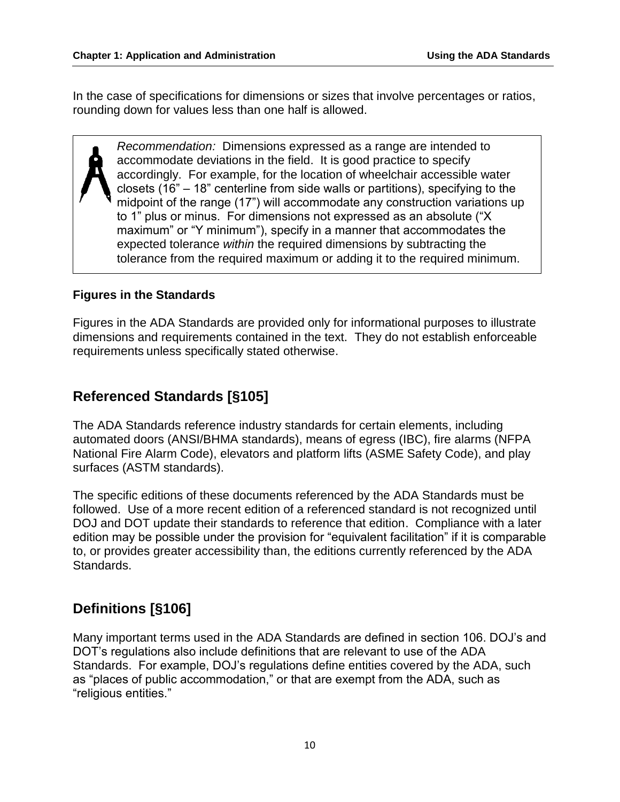In the case of specifications for dimensions or sizes that involve percentages or ratios, rounding down for values less than one half is allowed.

*Recommendation:* Dimensions expressed as a range are intended to accommodate deviations in the field. It is good practice to specify accordingly. For example, for the location of wheelchair accessible water closets (16" – 18" centerline from side walls or partitions), specifying to the midpoint of the range (17") will accommodate any construction variations up to 1" plus or minus. For dimensions not expressed as an absolute ("X maximum" or "Y minimum"), specify in a manner that accommodates the expected tolerance *within* the required dimensions by subtracting the tolerance from the required maximum or adding it to the required minimum.

#### **Figures in the Standards**

Figures in the ADA Standards are provided only for informational purposes to illustrate dimensions and requirements contained in the text. They do not establish enforceable requirements unless specifically stated otherwise.

## **Referenced Standards [§105]**

The ADA Standards reference industry standards for certain elements, including automated doors (ANSI/BHMA standards), means of egress (IBC), fire alarms (NFPA National Fire Alarm Code), elevators and platform lifts (ASME Safety Code), and play surfaces (ASTM standards).

The specific editions of these documents referenced by the ADA Standards must be followed. Use of a more recent edition of a referenced standard is not recognized until DOJ and DOT update their standards to reference that edition. Compliance with a later edition may be possible under the provision for "equivalent facilitation" if it is comparable to, or provides greater accessibility than, the editions currently referenced by the ADA Standards.

## **Definitions [§106]**

Many important terms used in the ADA Standards are defined in section 106. DOJ's and DOT's regulations also include definitions that are relevant to use of the ADA Standards. For example, DOJ's regulations define entities covered by the ADA, such as "places of public accommodation," or that are exempt from the ADA, such as "religious entities."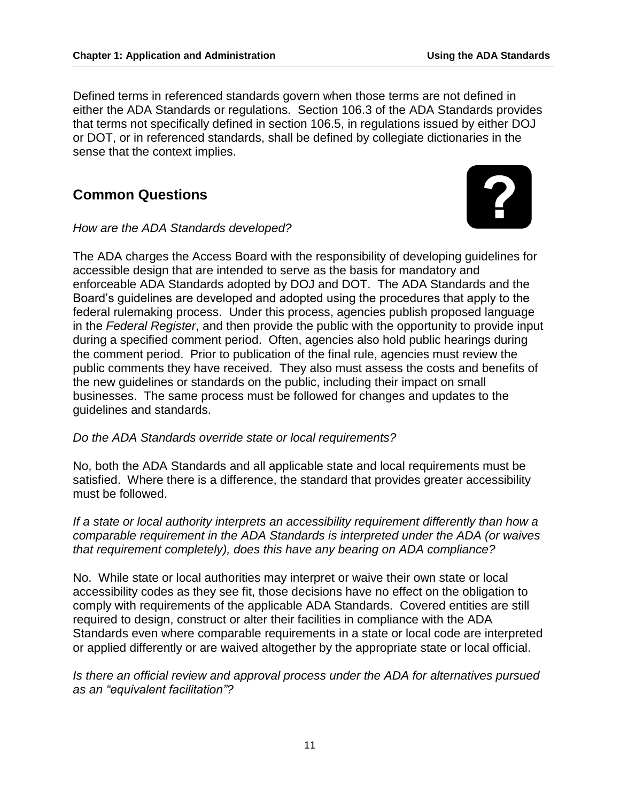Defined terms in referenced standards govern when those terms are not defined in either the ADA Standards or regulations. Section 106.3 of the ADA Standards provides that terms not specifically defined in section 106.5, in regulations issued by either DOJ or DOT, or in referenced standards, shall be defined by collegiate dictionaries in the sense that the context implies.

## **Common Questions**



#### *How are the ADA Standards developed?*

The ADA charges the Access Board with the responsibility of developing guidelines for accessible design that are intended to serve as the basis for mandatory and enforceable ADA Standards adopted by DOJ and DOT. The ADA Standards and the Board's guidelines are developed and adopted using the procedures that apply to the federal rulemaking process. Under this process, agencies publish proposed language in the *Federal Register*, and then provide the public with the opportunity to provide input during a specified comment period. Often, agencies also hold public hearings during the comment period. Prior to publication of the final rule, agencies must review the public comments they have received. They also must assess the costs and benefits of the new guidelines or standards on the public, including their impact on small businesses. The same process must be followed for changes and updates to the guidelines and standards.

#### *Do the ADA Standards override state or local requirements?*

No, both the ADA Standards and all applicable state and local requirements must be satisfied. Where there is a difference, the standard that provides greater accessibility must be followed.

*If a state or local authority interprets an accessibility requirement differently than how a comparable requirement in the ADA Standards is interpreted under the ADA (or waives that requirement completely), does this have any bearing on ADA compliance?*

No. While state or local authorities may interpret or waive their own state or local accessibility codes as they see fit, those decisions have no effect on the obligation to comply with requirements of the applicable ADA Standards. Covered entities are still required to design, construct or alter their facilities in compliance with the ADA Standards even where comparable requirements in a state or local code are interpreted or applied differently or are waived altogether by the appropriate state or local official.

*Is there an official review and approval process under the ADA for alternatives pursued as an "equivalent facilitation"?*